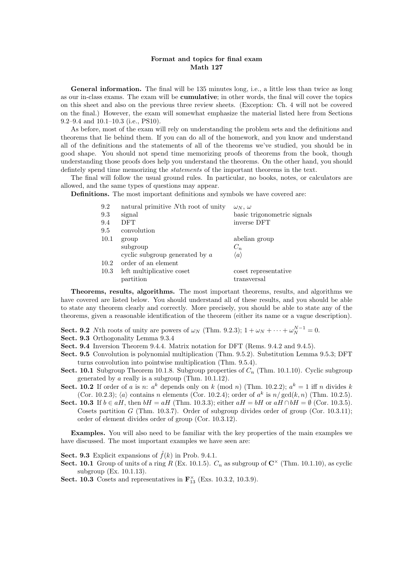## Format and topics for final exam Math 127

General information. The final will be 135 minutes long, i.e., a little less than twice as long as our in-class exams. The exam will be cumulative; in other words, the final will cover the topics on this sheet and also on the previous three review sheets. (Exception: Ch. 4 will not be covered on the final.) However, the exam will somewhat emphasize the material listed here from Sections 9.2–9.4 and 10.1–10.3 (i.e., PS10).

As before, most of the exam will rely on understanding the problem sets and the definitions and theorems that lie behind them. If you can do all of the homework, and you know and understand all of the definitions and the statements of all of the theorems we've studied, you should be in good shape. You should not spend time memorizing proofs of theorems from the book, though understanding those proofs does help you understand the theorems. On the other hand, you should defintely spend time memorizing the statements of the important theorems in the text.

The final will follow the usual ground rules. In particular, no books, notes, or calculators are allowed, and the same types of questions may appear.

Definitions. The most important definitions and symbols we have covered are:

| 9.2  | natural primitive Nth root of unity | $\omega_N, \omega$          |
|------|-------------------------------------|-----------------------------|
| 9.3  | signal                              | basic trigonometric signals |
| 9.4  | <b>DFT</b>                          | inverse DFT                 |
| 9.5  | convolution                         |                             |
| 10.1 | group                               | abelian group               |
|      | subgroup                            | $C_n$                       |
|      | cyclic subgroup generated by $a$    | $\langle a \rangle$         |
| 10.2 | order of an element                 |                             |
| 10.3 | left multiplicative coset           | coset representative        |
|      | partition                           | transversal                 |
|      |                                     |                             |

Theorems, results, algorithms. The most important theorems, results, and algorithms we have covered are listed below. You should understand all of these results, and you should be able to state any theorem clearly and correctly. More precisely, you should be able to state any of the theorems, given a reasonable identification of the theorem (either its name or a vague description).

- **Sect. 9.2** Nth roots of unity are powers of  $\omega_N$  (Thm. 9.2.3);  $1 + \omega_N + \cdots + \omega_N^{N-1} = 0$ .
- Sect. 9.3 Orthogonality Lemma 9.3.4
- Sect. 9.4 Inversion Theorem 9.4.4. Matrix notation for DFT (Rems. 9.4.2 and 9.4.5).
- Sect. 9.5 Convolution is polynomial multiplication (Thm. 9.5.2). Substitution Lemma 9.5.3; DFT turns convolution into pointwise multiplication (Thm. 9.5.4).
- Sect. 10.1 Subgroup Theorem 10.1.8. Subgroup properties of  $C_n$  (Thm. 10.1.10). Cyclic subgroup generated by a really is a subgroup (Thm. 10.1.12).
- **Sect. 10.2** If order of a is n:  $a^k$  depends only on k (mod n) (Thm. 10.2.2);  $a^k = 1$  iff n divides k (Cor. 10.2.3);  $\langle a \rangle$  contains n elements (Cor. 10.2.4); order of  $a^k$  is  $n/\gcd(k, n)$  (Thm. 10.2.5).
- Sect. 10.3 If  $b \in aH$ , then  $bH = aH$  (Thm. 10.3.3); either  $aH = bH$  or  $aH \cap bH = \emptyset$  (Cor. 10.3.5). Cosets partition G (Thm. 10.3.7). Order of subgroup divides order of group (Cor. 10.3.11); order of element divides order of group (Cor. 10.3.12).

Examples. You will also need to be familiar with the key properties of the main examples we have discussed. The most important examples we have seen are:

**Sect. 9.3** Explicit expansions of  $\hat{f}(k)$  in Prob. 9.4.1.

- Sect. 10.1 Group of units of a ring R (Ex. 10.1.5).  $C_n$  as subgroup of  $\mathbb{C}^{\times}$  (Thm. 10.1.10), as cyclic subgroup (Ex. 10.1.13).
- **Sect. 10.3** Cosets and representatives in  $\mathbf{F}_{13}^{\times}$  (Exs. 10.3.2, 10.3.9).